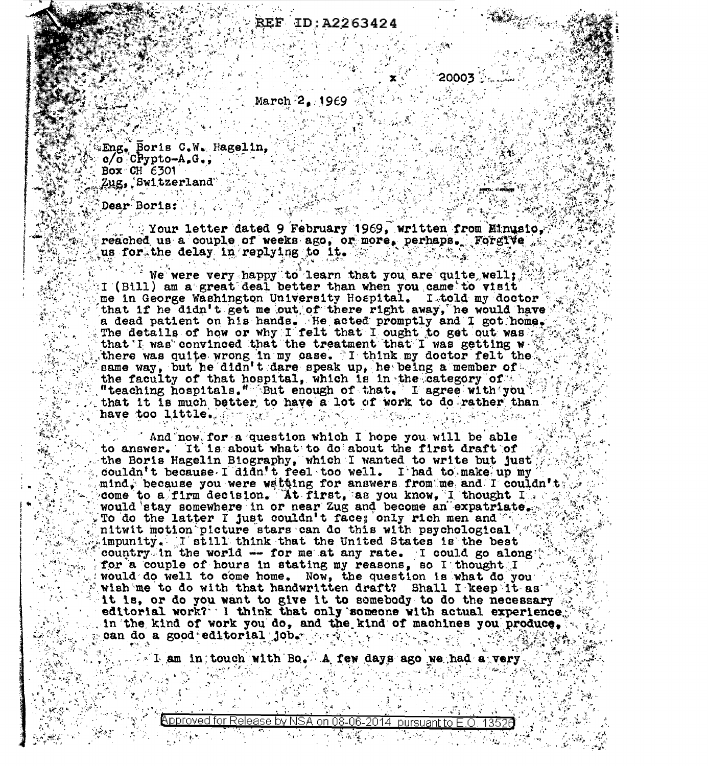## EF ID:A2263424

 $20003$  . 

 $\sim$  March 2, 1969

Eng. Boris C.W. Hagelin, Alexandrich Michael C. Box CH  $6301$  $Zug$ , Switzerland  $\begin{bmatrix} 0 \\ 0 \end{bmatrix}$ 

Dear Boris:

 $\Box$  Your letter dated 9 February 1969, written from Minusio, reached us a couple of weeks ago, or more, perhaps. Forgive us for the delay in replying to it. We have the set of  $\mathcal{L}$ 

We were very happy to learn that you are quite well; I (Bill) am a great deal better than when you came to visit. The me in George Washington University Hospital. I told my doctor that if he didn't get me out of there right away, he would have a dead patient on his hands. He acted promptly and I got home. there was quite wrong in my case. I think my doctor felt the same way, but he didn't dare speak up, he being a member of the faculty of that hospital, which is in the category of the "teaching hospitals." But enough of that. I agree with you that it is much better to have a lot of work to do rather than have too little. A give the conservation of the second start

And now for a question which I hope you will be able to answer. It is about what to do about the first draft of the the Boris Hagelin Biography, which I wanted to write but just it couldn't because I didn't feel too well. I had to make up my , mind, because you were wataing for answers from me and I couldn't  $\mathbb{F}_{\mathbf{c}}$ come to a firm decision. At first, as you know, I thought I would stay somewhere in or near Zug and become an expatriate. nitwit motion picture stars can do this with psychological  $\mathbb{C}^d$  impunity. I still think that the United States is the best country in the world -- for me at any rate. I could go along for a couple of hours in stating my reasons, so I thought I am would do well to come home. Now, the question is what do you wish me to do with that handwritten draft? Shall I keep it as  $\mathbb{R}^n$ . it is, or do you want to give it to somebody to do the necessary editorial work? I think that only someone with actual experience. in the kind of work you do, and the kind of machines you produce,  $\sim$  $\frac{1}{2}$ can do a good editorial job. The site of the state  $\frac{1}{2}$ 

which I am in touch with Bo. A few days ago we had a very

Approved for Release by NSA on 08-06-2014 pursuant to E.O. 13520